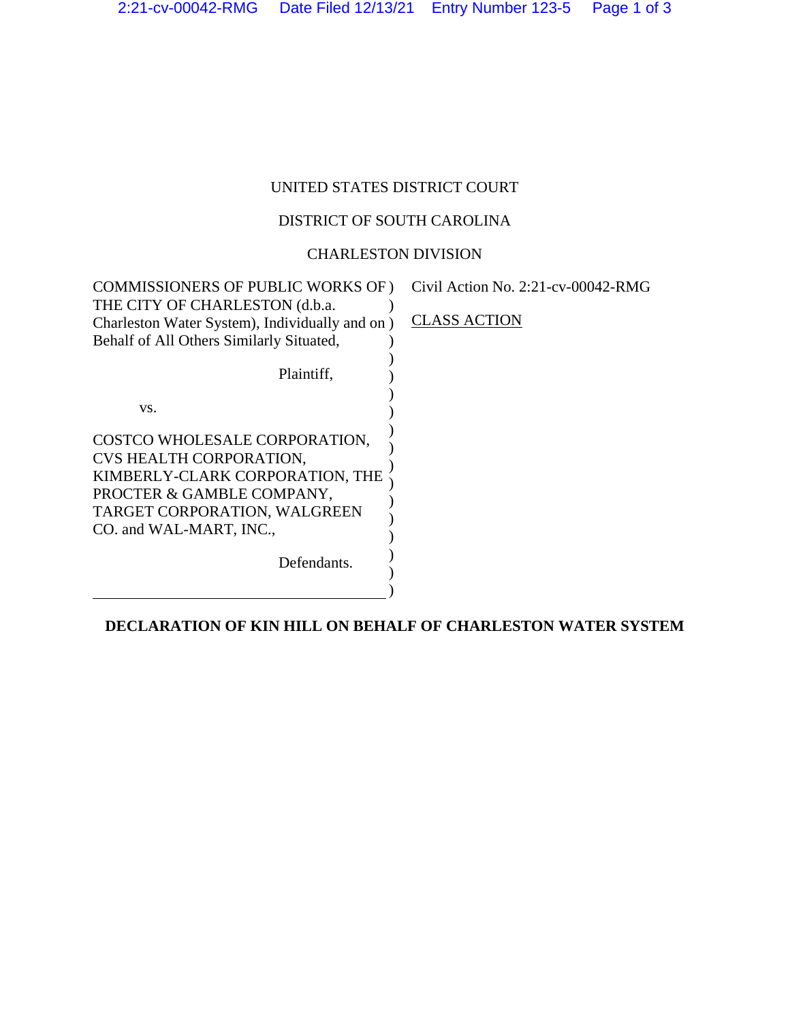# UNITED STATES DISTRICT COURT

### DISTRICT OF SOUTH CAROLINA

### CHARLESTON DIVISION

| <b>COMMISSIONERS OF PUBLIC WORKS OF)</b>                                                                                                                                            | Civil Action No. $2:21$ -cv-00042-RMG |
|-------------------------------------------------------------------------------------------------------------------------------------------------------------------------------------|---------------------------------------|
| THE CITY OF CHARLESTON (d.b.a.<br>Charleston Water System), Individually and on)                                                                                                    | <b>CLASS ACTION</b>                   |
| Behalf of All Others Similarly Situated,                                                                                                                                            |                                       |
| Plaintiff,                                                                                                                                                                          |                                       |
| VS.                                                                                                                                                                                 |                                       |
| COSTCO WHOLESALE CORPORATION,<br>CVS HEALTH CORPORATION,<br>KIMBERLY-CLARK CORPORATION, THE<br>PROCTER & GAMBLE COMPANY,<br>TARGET CORPORATION, WALGREEN<br>CO. and WAL-MART, INC., |                                       |
| Defendants.                                                                                                                                                                         |                                       |
|                                                                                                                                                                                     |                                       |

## **DECLARATION OF KIN HILL ON BEHALF OF CHARLESTON WATER SYSTEM**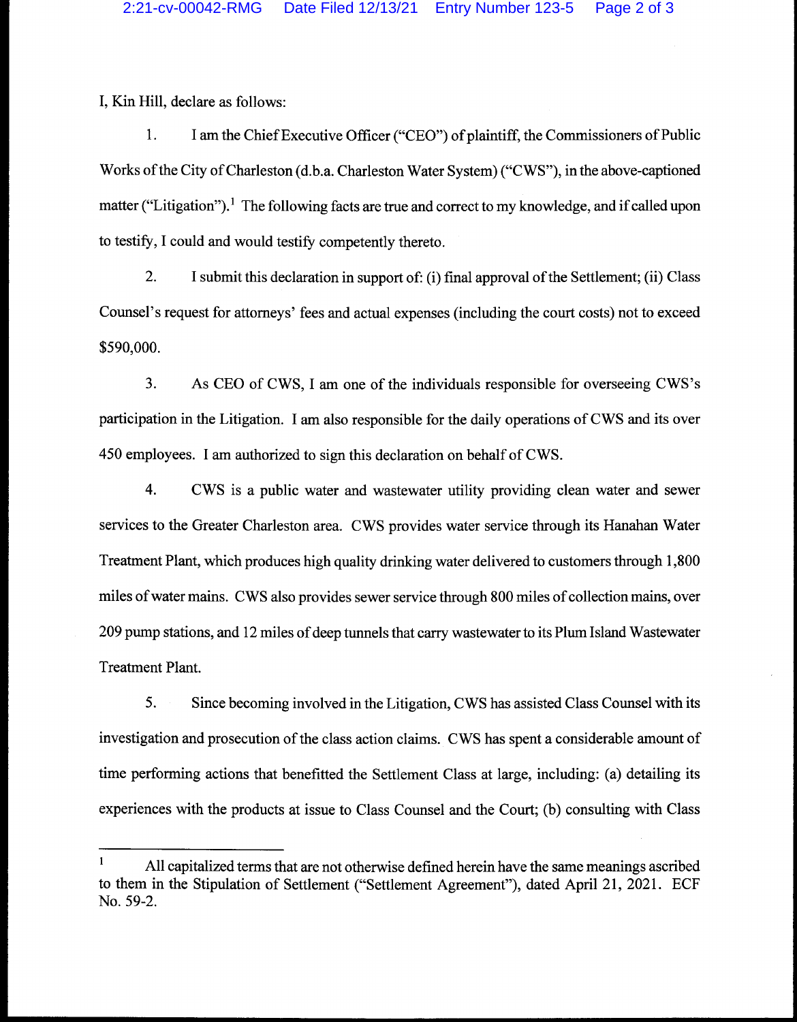I, Kin Hill, declare as follows:

1. I am the Chief Executive Officer ("CEO") of plaintiff, the Commissioners of Public Works of the City of Charleston (d.b.a. Charleston Water System) ("CWS"), in the above-captioned matter ("Litigation").<sup>1</sup> The following facts are true and correct to my knowledge, and if called upon to testify, I could and would testify competently thereto.

2. I submit this declaration in support of: (i) final approval of the Settlement; (ii) Class Counsel's request for attorneys' fees and actual expenses (including the court costs) not to exceed \$590,000.

3. As CEO of CWS, I am one of the individuals responsible for overseeing CWS's participation in the Litigation. I am also responsible for the daily operations of CWS and its over 450 employees. I am authorized to sign this declaration on behalf of CWS.

4. CWS is a public water and wastewater utility providing clean water and sewer services to the Greater Charleston area. CWS provides water service through its Hanahan Water Treatment Plant, which produces high quality drinking water delivered to customers through 1,800 miles of water mains. CWS also provides sewer service through 800 miles of collection mains, over 209 pump stations, and 12 miles of deep tunnels that carry wastewater to its Plum Island Wastewater Treatment Plant.

5. Since becoming involved in the Litigation, CWS has assisted Class Counsel with its investigation and prosecution of the class action claims. CWS has spent a considerable amount of time performing actions that benefitted the Settlement Class at large, including: (a) detailing its experiences with the products at issue to Class Counsel and the Court; (b) consulting with Class

 $\mathbf{1}$ All capitalized terms that are not otherwise defined herein have the same meanings ascribed to them in the Stipulation of Settlement ("Settlement Agreement"), dated April 21, 2021. ECF No. 59-2.